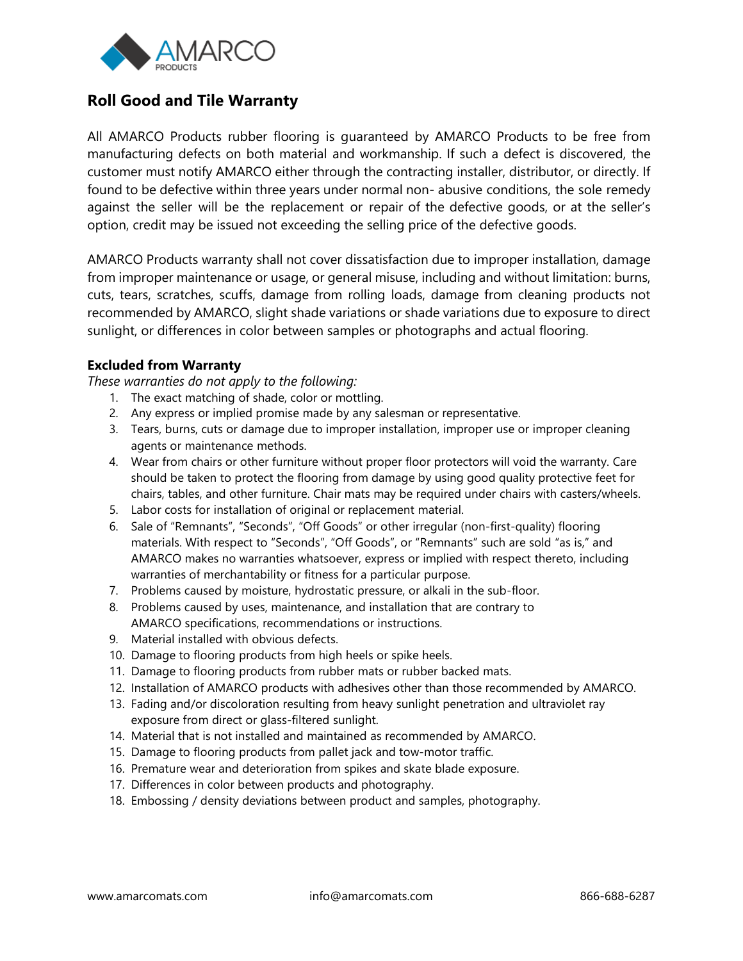

## **Roll Good and Tile Warranty**

All AMARCO Products rubber flooring is guaranteed by AMARCO Products to be free from manufacturing defects on both material and workmanship. If such a defect is discovered, the customer must notify AMARCO either through the contracting installer, distributor, or directly. If found to be defective within three years under normal non- abusive conditions, the sole remedy against the seller will be the replacement or repair of the defective goods, or at the seller's option, credit may be issued not exceeding the selling price of the defective goods.

AMARCO Products warranty shall not cover dissatisfaction due to improper installation, damage from improper maintenance or usage, or general misuse, including and without limitation: burns, cuts, tears, scratches, scuffs, damage from rolling loads, damage from cleaning products not recommended by AMARCO, slight shade variations or shade variations due to exposure to direct sunlight, or differences in color between samples or photographs and actual flooring.

## **Excluded from Warranty**

*These warranties do not apply to the following:*

- 1. The exact matching of shade, color or mottling.
- 2. Any express or implied promise made by any salesman or representative.
- 3. Tears, burns, cuts or damage due to improper installation, improper use or improper cleaning agents or maintenance methods.
- 4. Wear from chairs or other furniture without proper floor protectors will void the warranty. Care should be taken to protect the flooring from damage by using good quality protective feet for chairs, tables, and other furniture. Chair mats may be required under chairs with casters/wheels.
- 5. Labor costs for installation of original or replacement material.
- 6. Sale of "Remnants", "Seconds", "Off Goods" or other irregular (non-first-quality) flooring materials. With respect to "Seconds", "Off Goods", or "Remnants" such are sold "as is," and AMARCO makes no warranties whatsoever, express or implied with respect thereto, including warranties of merchantability or fitness for a particular purpose.
- 7. Problems caused by moisture, hydrostatic pressure, or alkali in the sub-floor.
- 8. Problems caused by uses, maintenance, and installation that are contrary to AMARCO specifications, recommendations or instructions.
- 9. Material installed with obvious defects.
- 10. Damage to flooring products from high heels or spike heels.
- 11. Damage to flooring products from rubber mats or rubber backed mats.
- 12. Installation of AMARCO products with adhesives other than those recommended by AMARCO.
- 13. Fading and/or discoloration resulting from heavy sunlight penetration and ultraviolet ray exposure from direct or glass-filtered sunlight.
- 14. Material that is not installed and maintained as recommended by AMARCO.
- 15. Damage to flooring products from pallet jack and tow-motor traffic.
- 16. Premature wear and deterioration from spikes and skate blade exposure.
- 17. Differences in color between products and photography.
- 18. Embossing / density deviations between product and samples, photography.